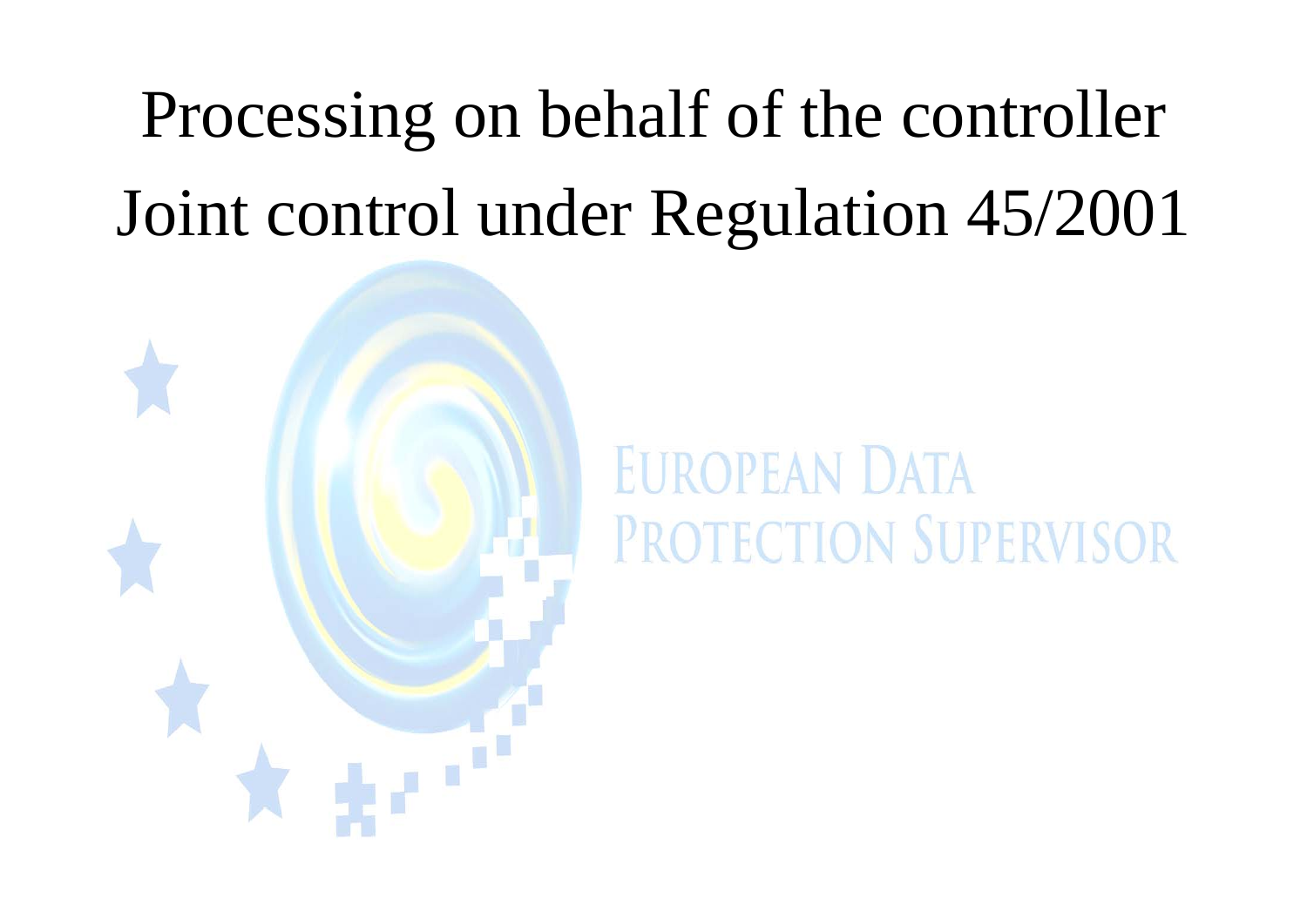# Processing on behalf of the controller Joint control under Regulation 45/2001



# **EUROPEAN DATA** PROTECTION SUPERVISOR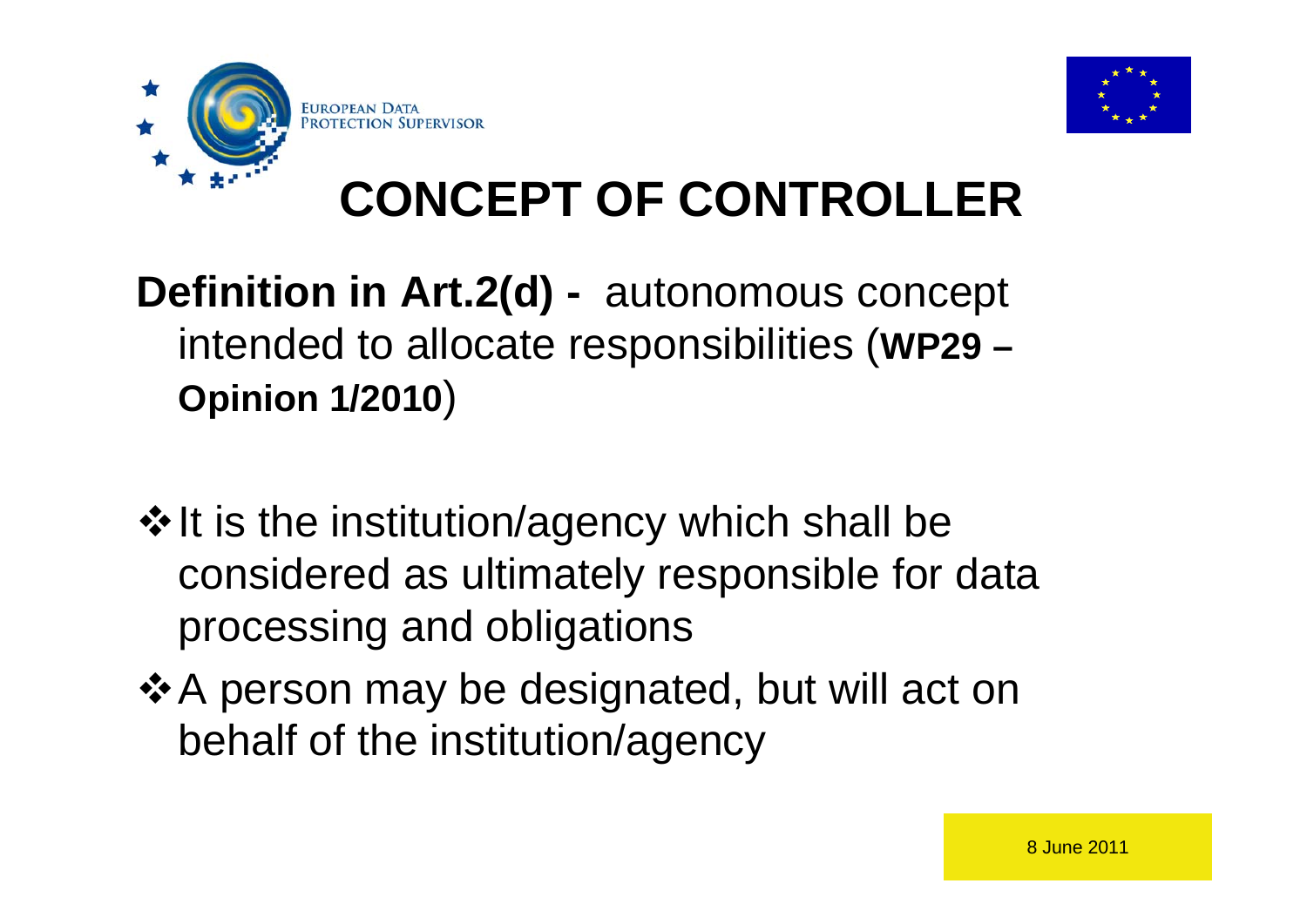



## **CONCEPT OF CONTROLLER**

### **Definition in Art.2(d) -** autonomous concept intended to allocate responsibilities (**WP29 – Opinion 1/2010** )

- $*$  It is the institution/agency which shall be considered as ultimately responsible for data processing and obligations
- ❖ A person may be designated, but will act on behalf of the institution/agency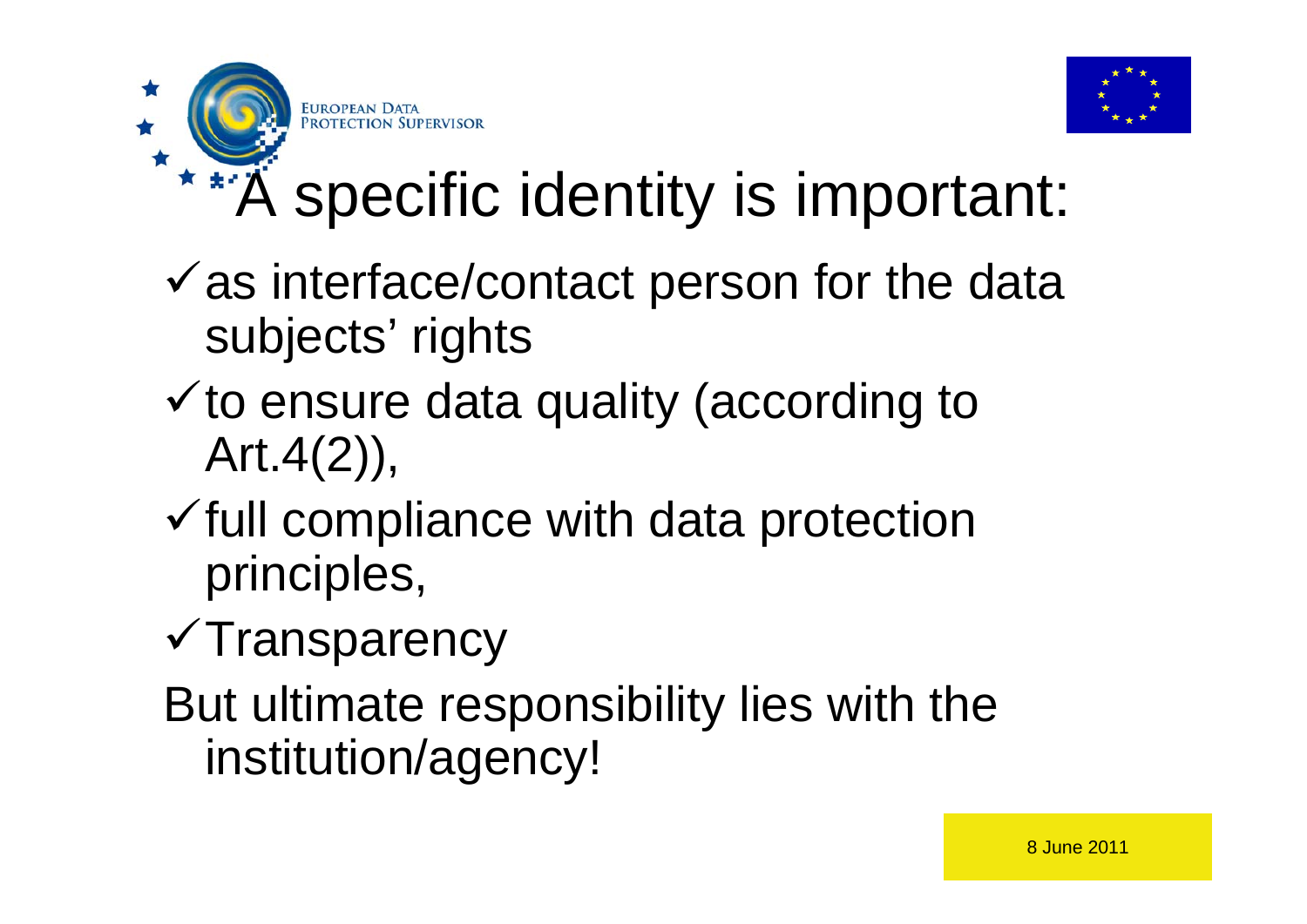

# **\*\*A** specific identity is important:

- $\checkmark$  as interface/contact person for the data subjects' rights
- $\checkmark$  to ensure data quality (according to Art.4(2)),
- $\checkmark$  full compliance with data protection principles,
- $\checkmark$ Transparency

**EUROPEAN D** 

But ultimate responsibility lies with the institution/agency!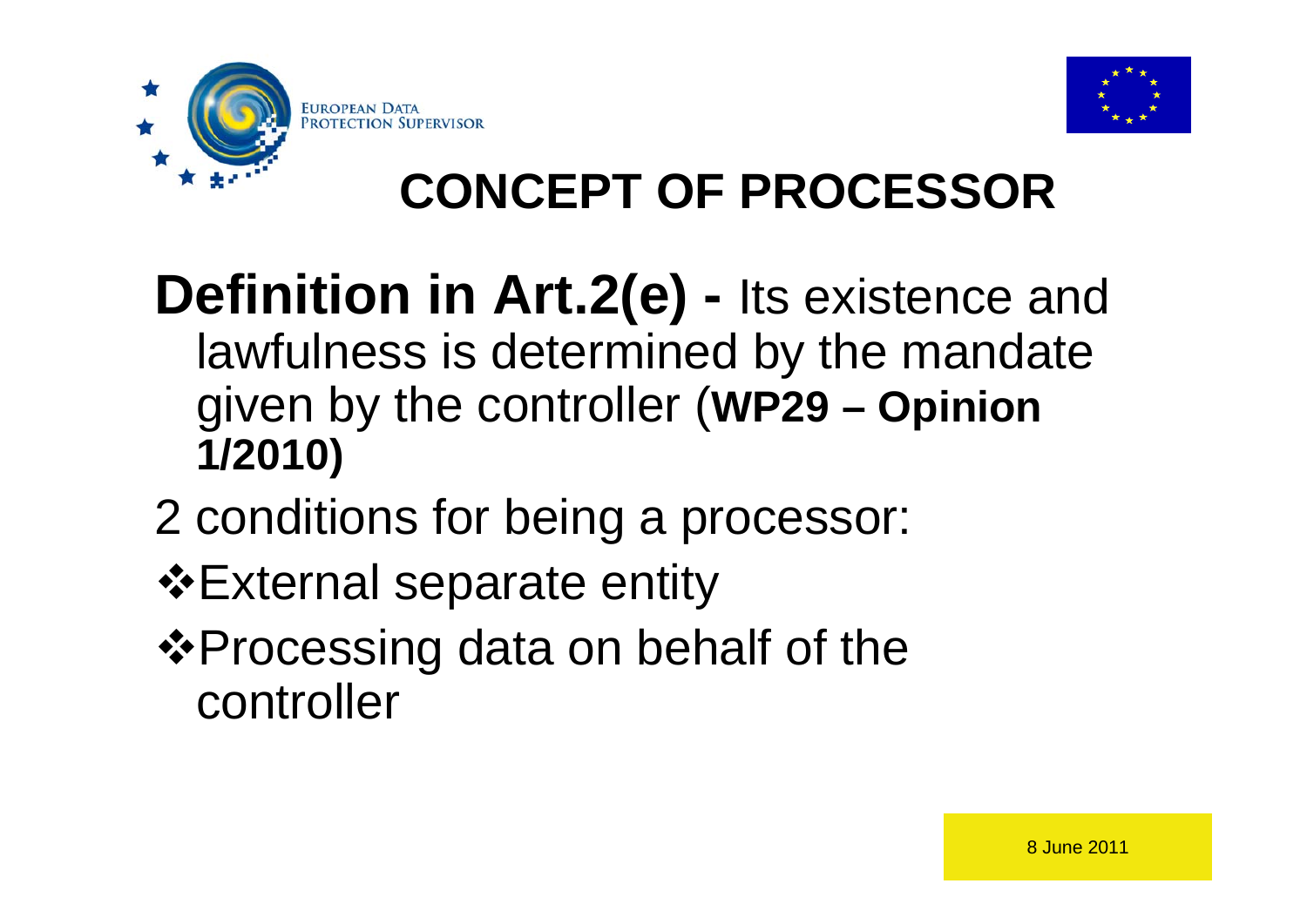



### **CONCEPT OF PROCESSOR**

### **Definition in Art.2(e) -** Its existence and lawfulness is determined by the mandate given by the controller (**WP29 – Opinion 1/2010)**

- 2 conditions for being a processor:
- External separate entity
- ❖ Processing data on behalf of the controller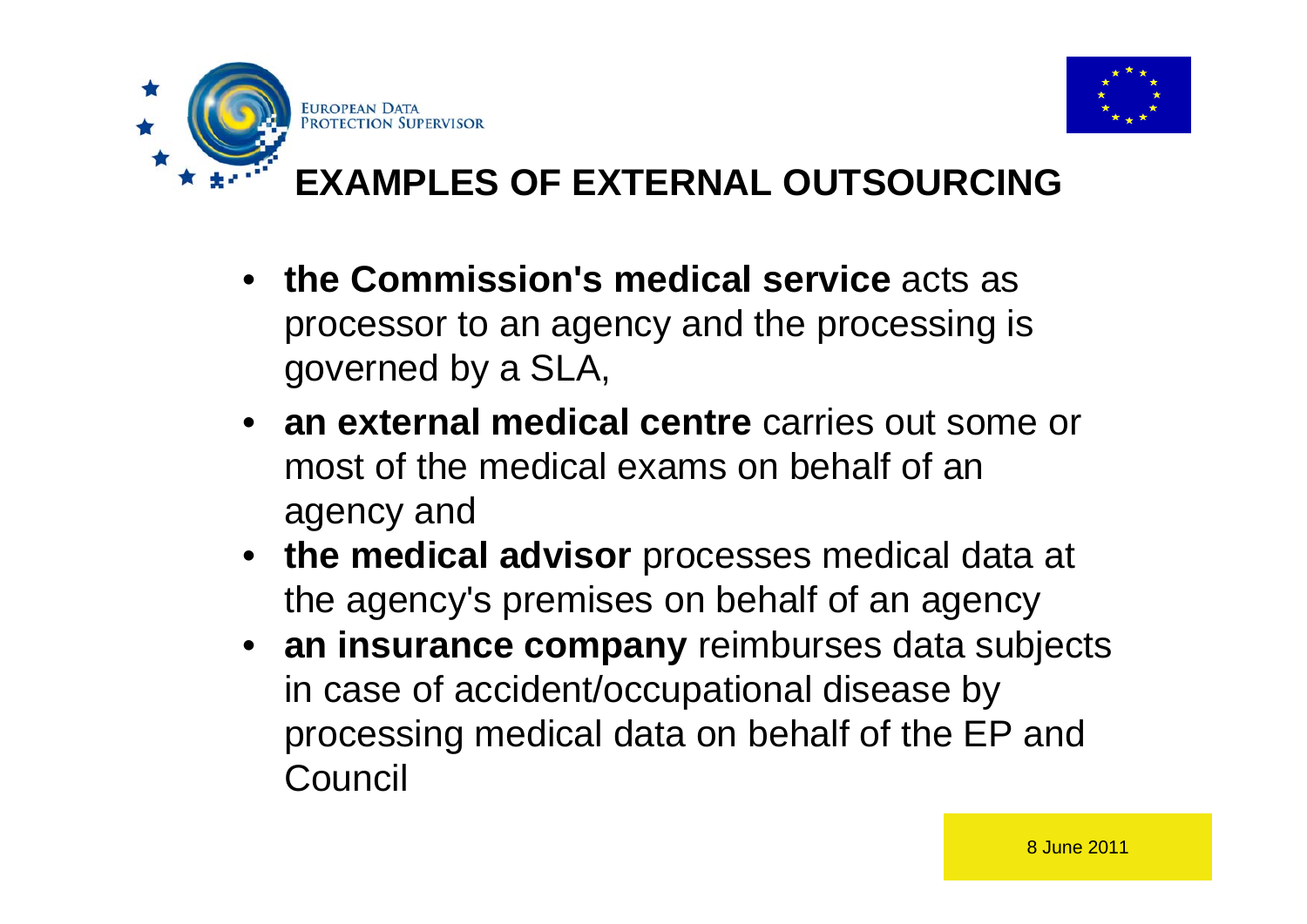

### **EXAMPLES OF EXTERNAL OUTSOURCING**

• **the Commission's medical service** acts as processor to an agency and the processing is governed by a SLA,

**EUROPEAN DA** 

- **an external medical centre** carries out some or most of the medical exams on behalf of an agency and
- **the medical advisor** processes medical data at the agency's premises on behalf of an agency
- **an insurance company** reimburses data subjects in case of accident/occupational disease by processing medical data on behalf of the EP and Council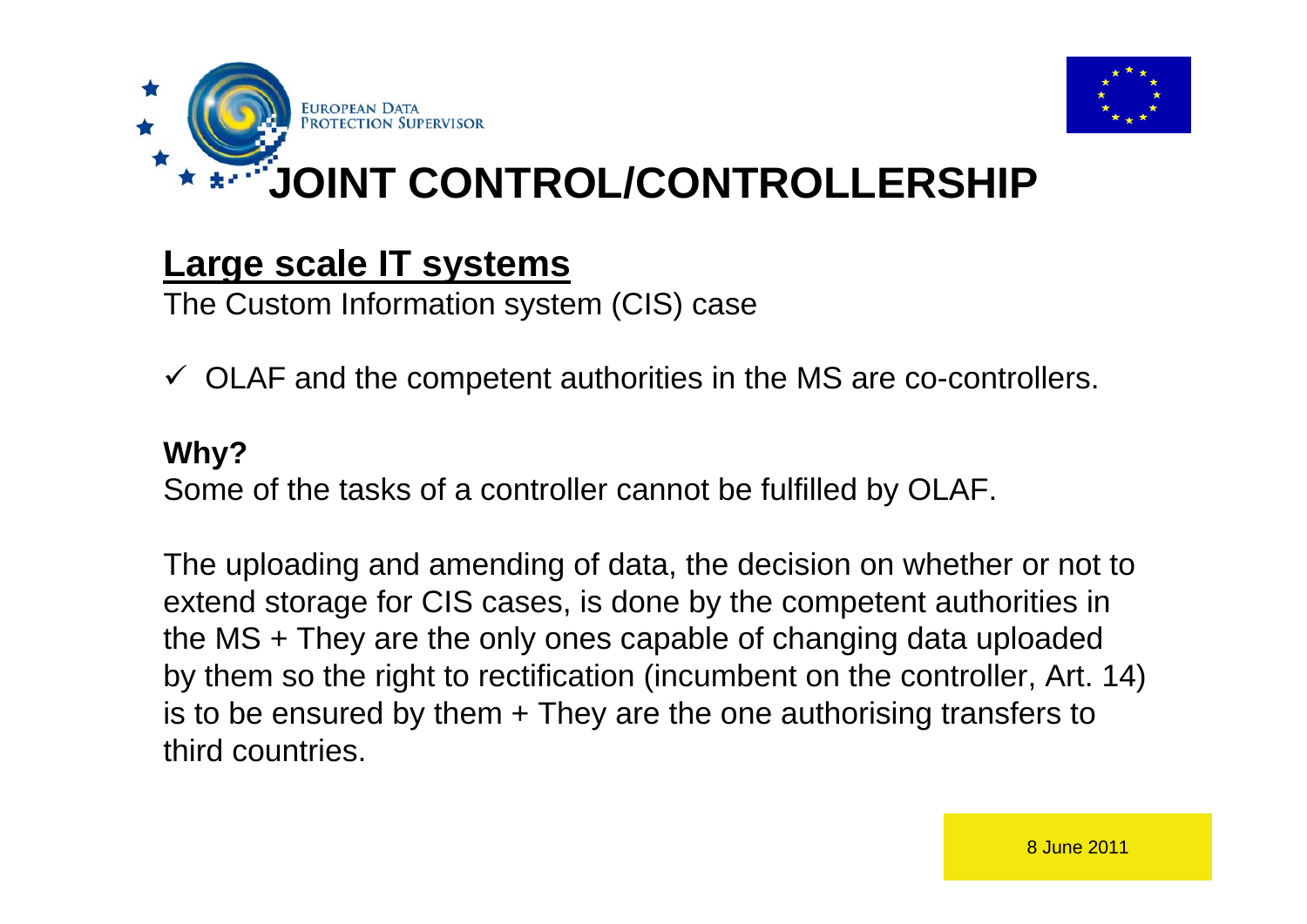



**JOINT CONTROL/CONTROLLERSHIP**

#### **Large scale IT systems**

The Custom Information system (CIS) case

 $\checkmark$  OLAF and the competent authorities in the MS are co-controllers.

#### **Why?**

Some of the tasks of a controller cannot be fulfilled by OLAF.

The uploading and amending of data, the decision on whether or not to extend storage for CIS cases, is done by the competent authorities in the MS + They are the only ones capable of changing data uploaded by them so the right to rectification (incumbent on the controller, Art. 14) is to be ensured by them + They are the one authorising transfers to third countries.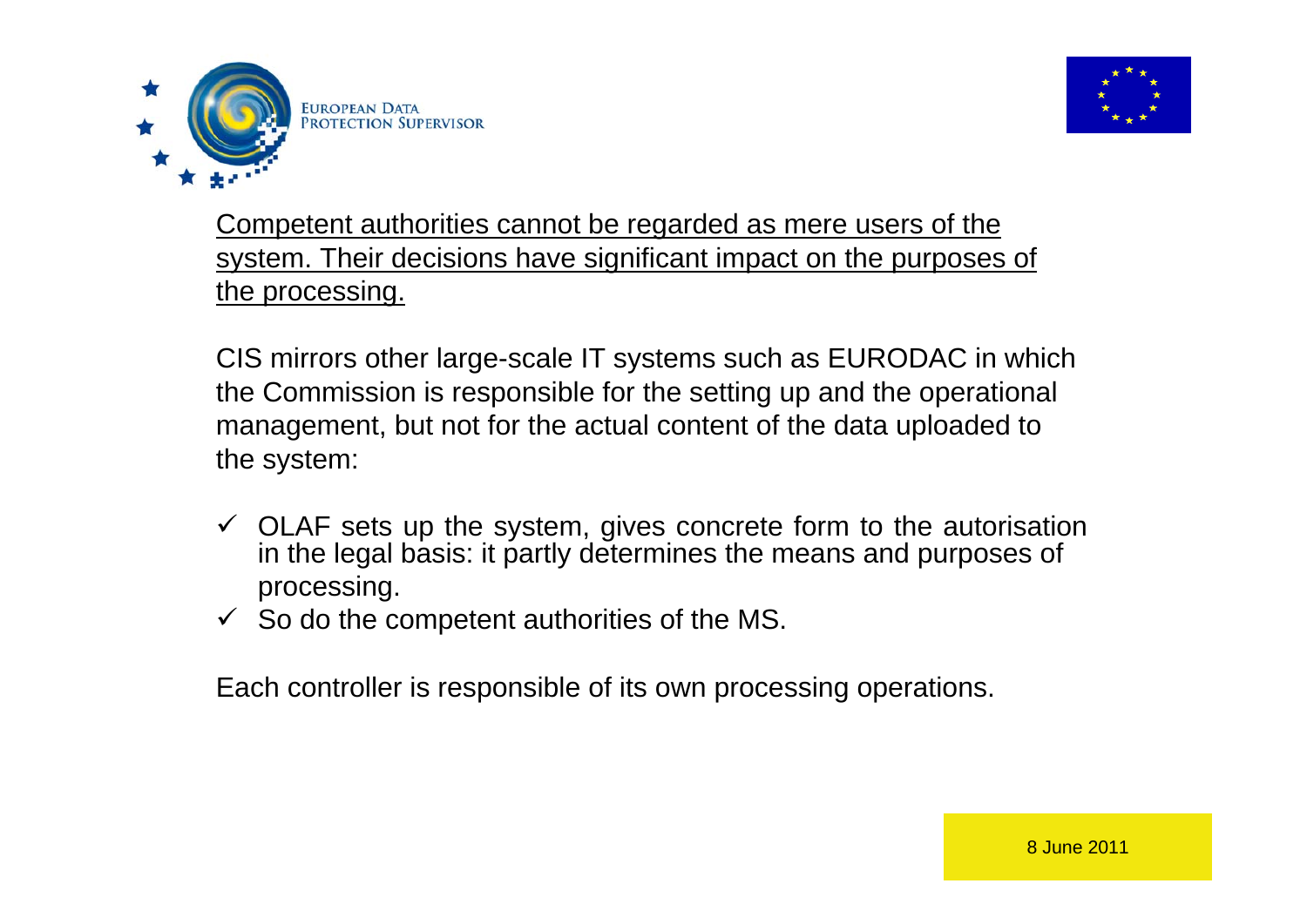



Competent authorities cannot be regarded as mere users of the system. Their decisions have significant impact on the purposes of the processing.

CIS mirrors other large-scale IT systems such as EURODAC in which the Commission is responsible for the setting up and the operational management, but not for the actual content of the data uploaded to the system:

- $\checkmark$  OLAF sets up the system, gives concrete form to the autorisation in the legal basis: it partly determines the means and purposes of processing.
- $\checkmark$  So do the competent authorities of the MS.

Each controller is responsible of its own processing operations.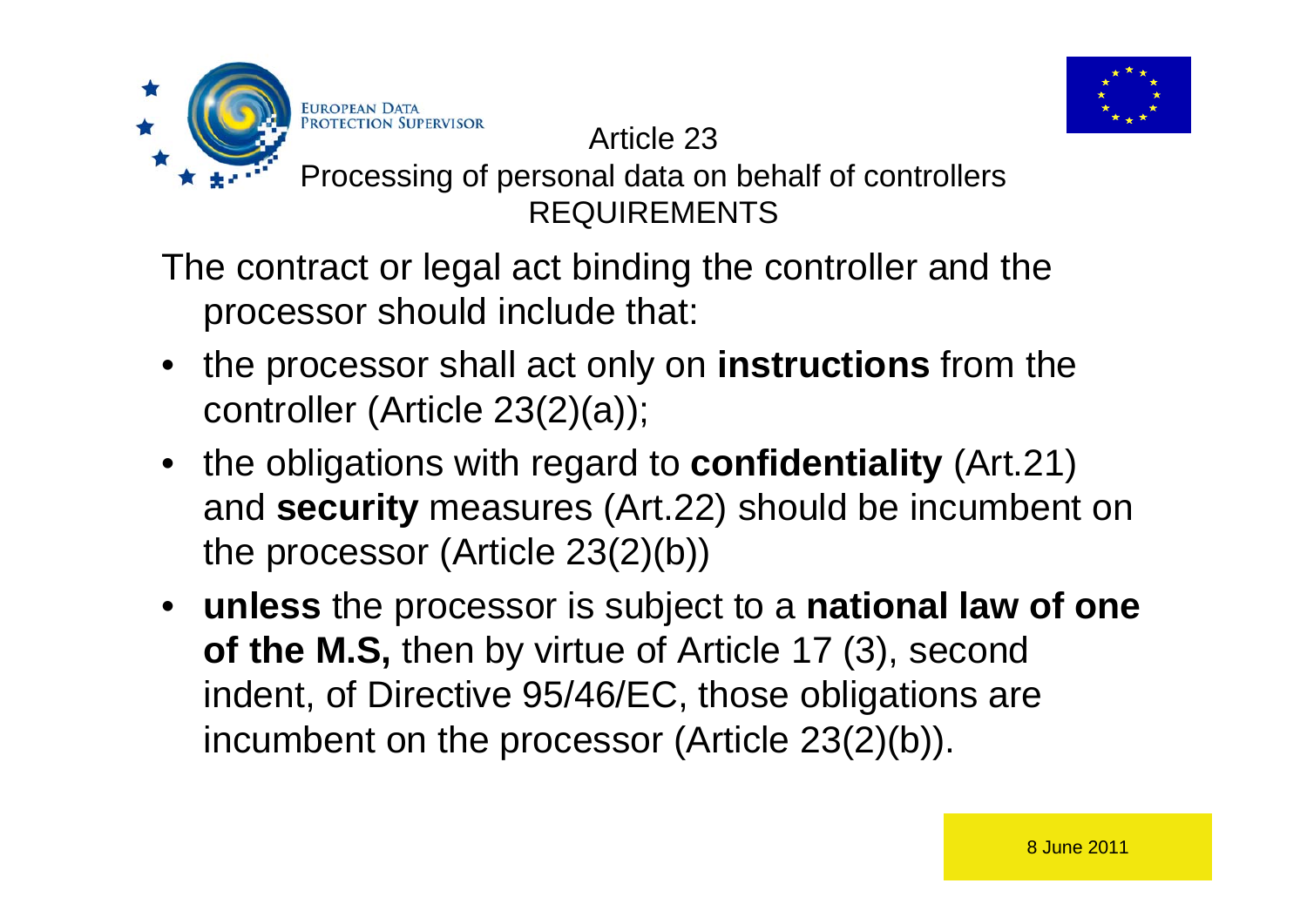

#### Article 23

#### Processing of personal data on behalf of controllers REQUIREMENTS

The contract or legal act binding the controller and the processor should include that:

**EUROPEAN DAT PROTECTION** 

- the processor shall act only on **instructions** from the controller (Article 23(2)(a));
- the obligations with regard to **confidentiality** (Art.21) and **security** measures (Art.22) should be incumbent on the processor (Article 23(2)(b))
- **unless** the processor is subject to a **national law of one of the M.S,** then by virtue of Article 17 (3), second indent, of Directive 95/46/EC, those obligations are incumbent on the processor (Article 23(2)(b)).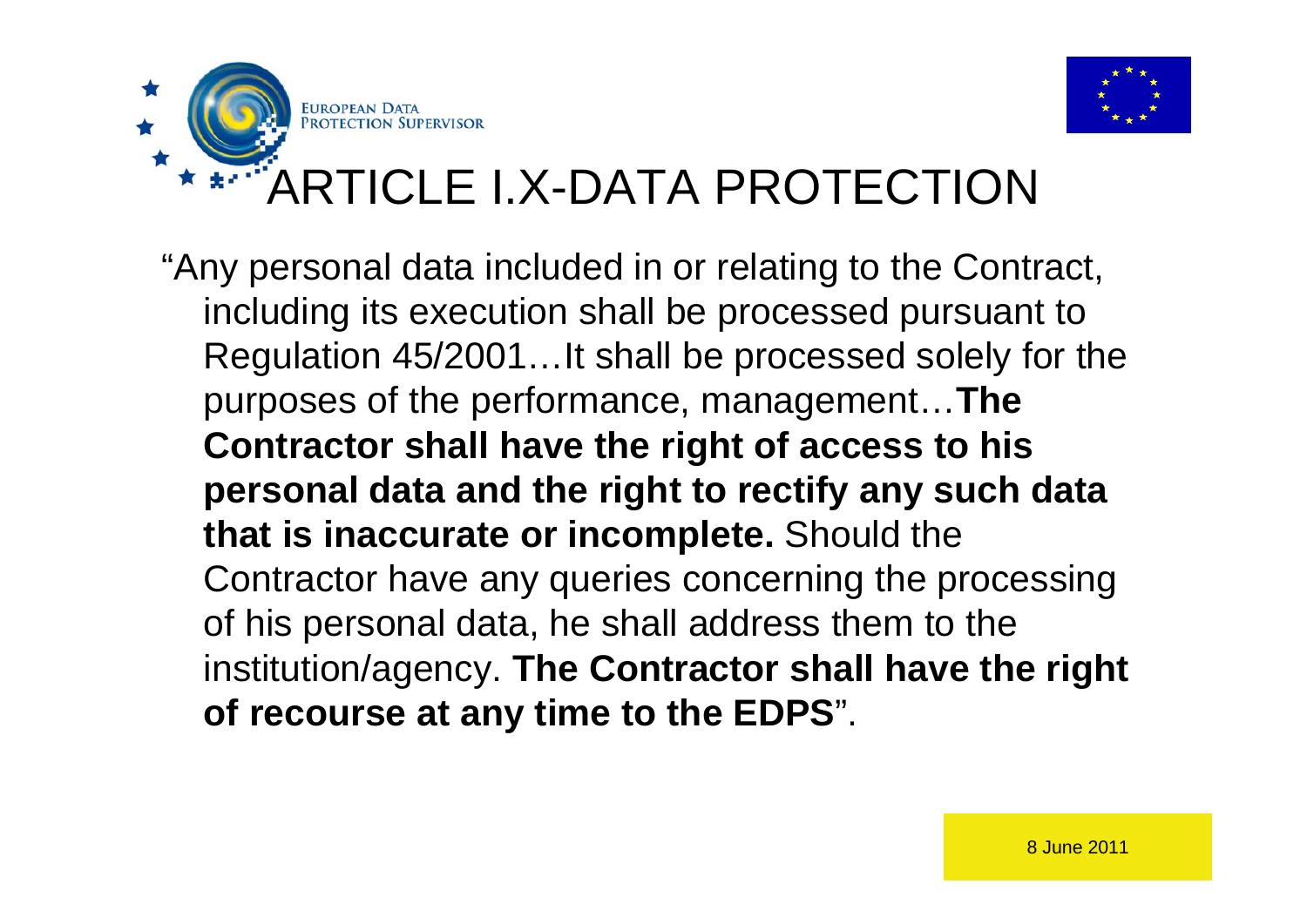

# ARTICLE I.X-DATA PROTECTION

"Any personal data included in or relating to the Contract, including its execution shall be processed pursuant to Regulation 45/2001…It shall be processed solely for the purposes of the performance, management…**The Contractor shall have the right of access to his personal data and the right to rectify any such data that is inaccurate or incomplete.** Should the Contractor have any queries concerning the processing of his personal data, he shall address them to the institution/agency. **The Contractor shall have the right of recourse at any time to the EDPS**".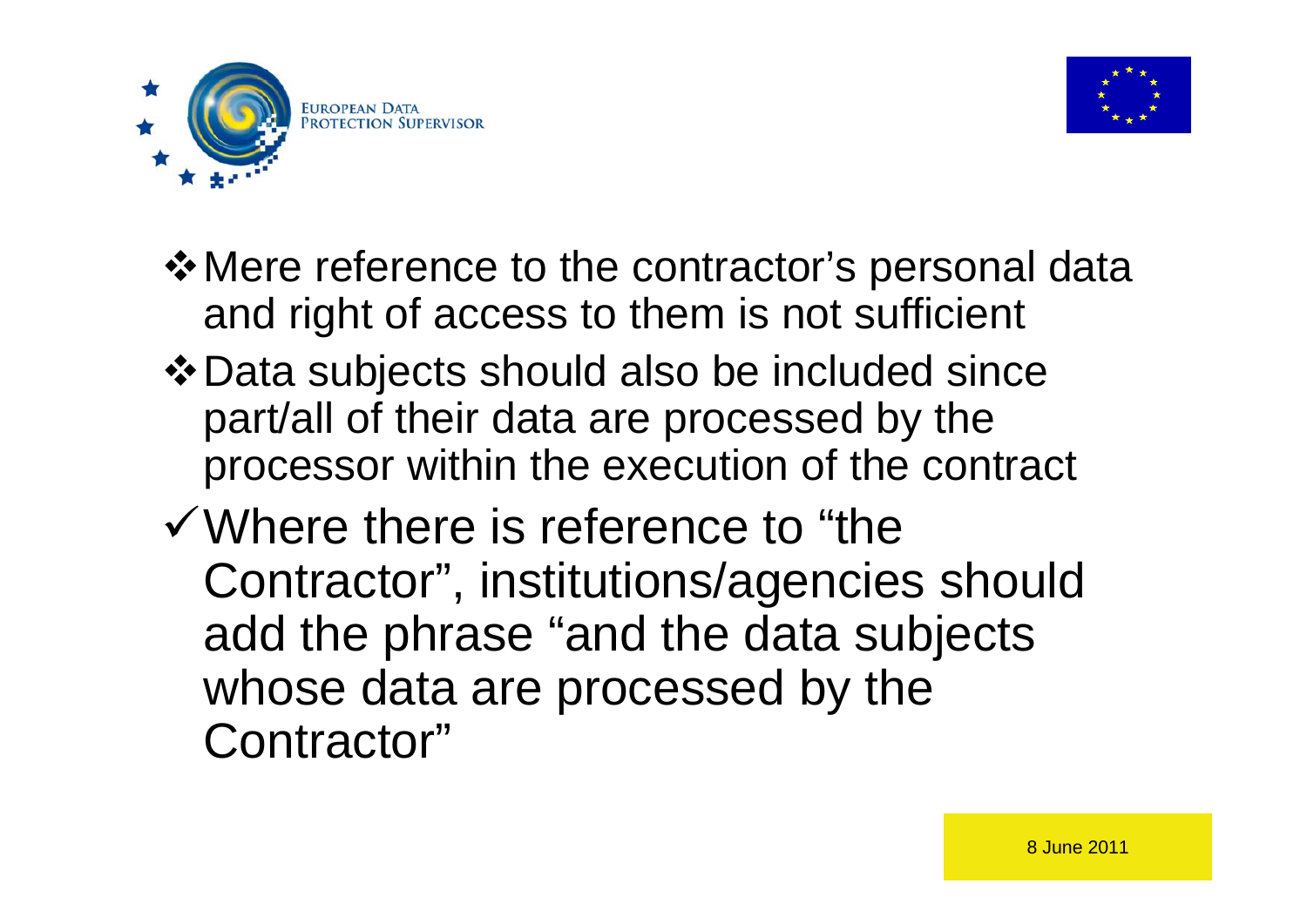



- **\*** Mere reference to the contractor's personal data and right of access to them is not sufficient
- Data subjects should also be included since part/all of their data are processed by the processor within the execution of the contract
- Where there is reference to "the Contractor", institutions/agencies should add the phrase "and the data subjects whose data are processed by the Contractor"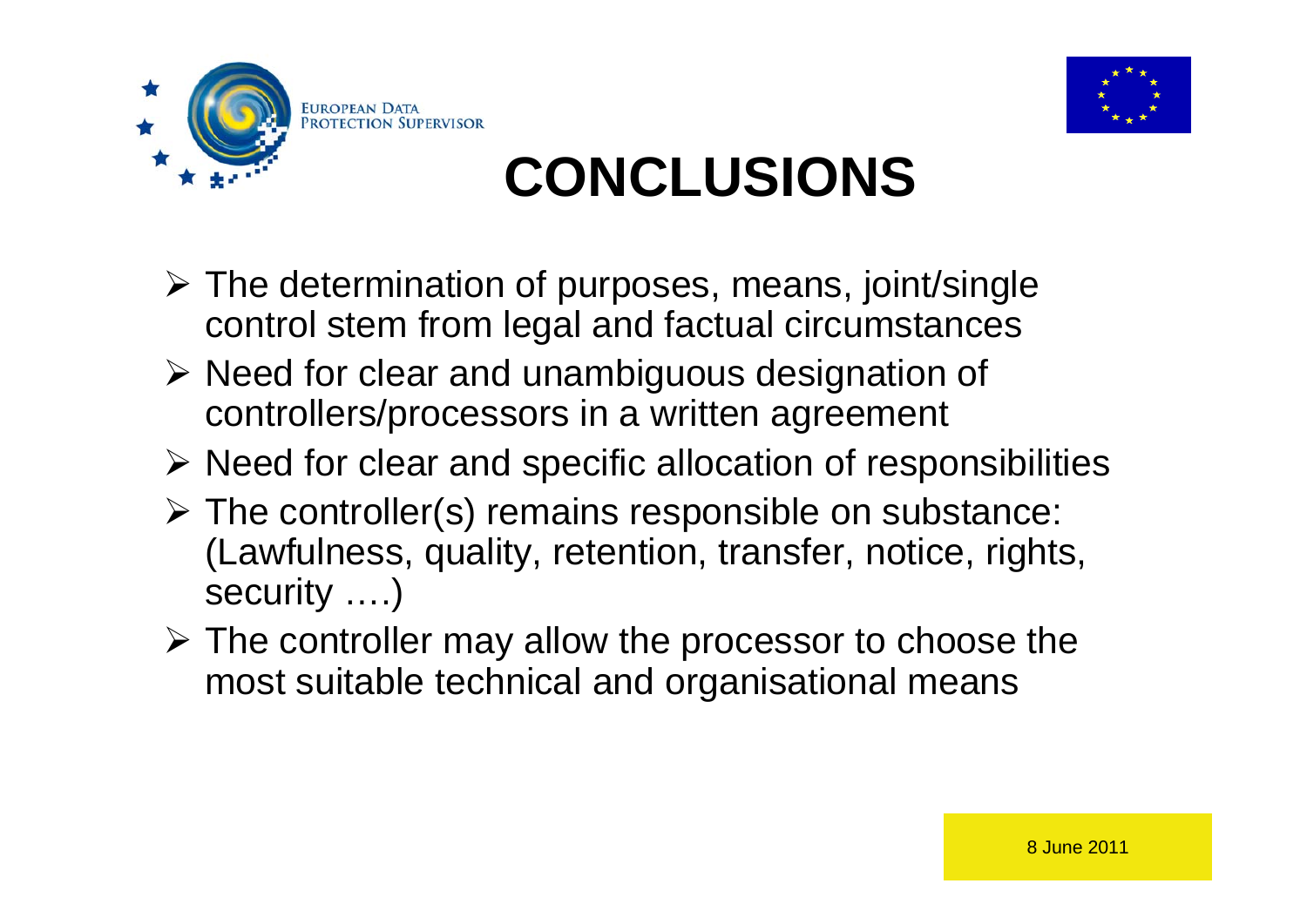



# **CONCLUSIONS**

- The determination of purposes, means, joint/single control stem from legal and factual circumstances
- $\triangleright$  Need for clear and unambiguous designation of controllers/processors in a written agreement
- $\triangleright$  Need for clear and specific allocation of responsibilities
- $\triangleright$  The controller(s) remains responsible on substance: (Lawfulness, quality, retention, transfer, notice, rights, security ….)
- $\triangleright$  The controller may allow the processor to choose the most suitable technical and organisational means